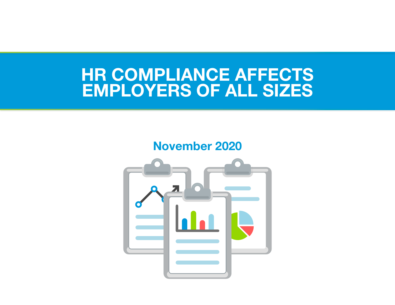# HR COMPLIANCE AFFECTS EMPLOYERS OF ALL SIZES

## November 2020

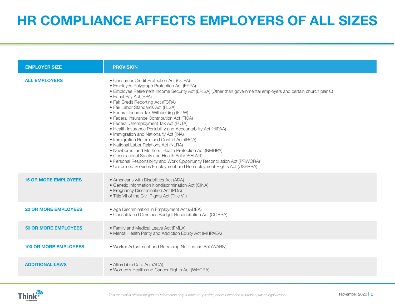## HR COMPLIANCE AFFECTS EMPLOYERS OF ALL SIZES

| <b>EMPLOYER SIZE</b>         | <b>PROVISION</b>                                                                                                                                                                                                                                                                                                                                                                                                                                                                                                                                                                                                                                                                                                                                                                                                                                                                                                      |
|------------------------------|-----------------------------------------------------------------------------------------------------------------------------------------------------------------------------------------------------------------------------------------------------------------------------------------------------------------------------------------------------------------------------------------------------------------------------------------------------------------------------------------------------------------------------------------------------------------------------------------------------------------------------------------------------------------------------------------------------------------------------------------------------------------------------------------------------------------------------------------------------------------------------------------------------------------------|
| <b>ALL EMPLOYERS</b>         | • Consumer Credit Protection Act (CCPA)<br>• Employee Polygraph Protection Act (EPPA)<br>. Employee Retirement Income Security Act (ERISA) (Other than governmental employers and certain church plans.)<br>• Equal Pay Act (EPA)<br>• Fair Credit Reporting Act (FCRA)<br>· Fair Labor Standards Act (FLSA)<br>• Federal Income Tax Withholding (FITW)<br>· Federal Insurance Contribution Act (FICA)<br>• Federal Unemployment Tax Act (FUTA)<br>• Health Insurance Portability and Accountability Act (HIPAA)<br>• Immigration and Nationality Act (INA)<br>• Immigration Reform and Control Act (IRCA)<br>· National Labor Relations Act (NLRA)<br>• Newborns' and Mothers' Health Protection Act (NMHPA)<br>• Occupational Safety and Health Act (OSH Act)<br>• Personal Responsibility and Work Opportunity Reconciliation Act (PRWORA)<br>• Uniformed Services Employment and Reemployment Rights Act (USERRA) |
| <b>15 OR MORE EMPLOYEES</b>  | • Americans with Disabilities Act (ADA)<br>· Genetic Information Nondiscrimination Act (GINA)<br>• Pregnancy Discrimination Act (PDA)<br>• Title VII of the Civil Rights Act (Title VII)                                                                                                                                                                                                                                                                                                                                                                                                                                                                                                                                                                                                                                                                                                                              |
| <b>20 OR MORE EMPLOYEES</b>  | • Age Discrimination in Employment Act (ADEA)<br>• Consolidated Omnibus Budget Reconciliation Act (COBRA)                                                                                                                                                                                                                                                                                                                                                                                                                                                                                                                                                                                                                                                                                                                                                                                                             |
| <b>50 OR MORE EMPLOYEES</b>  | • Family and Medical Leave Act (FMLA)<br>• Mental Health Parity and Addiction Equity Act (MHPAEA)                                                                                                                                                                                                                                                                                                                                                                                                                                                                                                                                                                                                                                                                                                                                                                                                                     |
| <b>100 OR MORE EMPLOYEES</b> | • Worker Adjustment and Retraining Notification Act (WARN)                                                                                                                                                                                                                                                                                                                                                                                                                                                                                                                                                                                                                                                                                                                                                                                                                                                            |
| <b>ADDITIONAL LAWS</b>       | • Affordable Care Act (ACA)<br>• Women's Health and Cancer Rights Act (WHCRA)                                                                                                                                                                                                                                                                                                                                                                                                                                                                                                                                                                                                                                                                                                                                                                                                                                         |

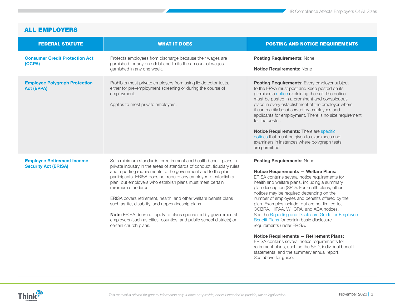<span id="page-2-0"></span>

| <b>FEDERAL STATUTE</b>                                           | <b>WHAT IT DOES</b>                                                                                                                                                                                                                                                                                                                                                                                                                                                                                                                                                                                                                                              | <b>POSTING AND NOTICE REQUIREMENTS</b>                                                                                                                                                                                                                                                                                                                                                                                                                                                                                                                                                                                                                                                                                                                                                          |
|------------------------------------------------------------------|------------------------------------------------------------------------------------------------------------------------------------------------------------------------------------------------------------------------------------------------------------------------------------------------------------------------------------------------------------------------------------------------------------------------------------------------------------------------------------------------------------------------------------------------------------------------------------------------------------------------------------------------------------------|-------------------------------------------------------------------------------------------------------------------------------------------------------------------------------------------------------------------------------------------------------------------------------------------------------------------------------------------------------------------------------------------------------------------------------------------------------------------------------------------------------------------------------------------------------------------------------------------------------------------------------------------------------------------------------------------------------------------------------------------------------------------------------------------------|
| <b>Consumer Credit Protection Act</b><br>(CCPA)                  | Protects employees from discharge because their wages are<br>garnished for any one debt and limits the amount of wages<br>garnished in any one week.                                                                                                                                                                                                                                                                                                                                                                                                                                                                                                             | <b>Posting Requirements: None</b><br>Notice Requirements: None                                                                                                                                                                                                                                                                                                                                                                                                                                                                                                                                                                                                                                                                                                                                  |
| <b>Employee Polygraph Protection</b><br><b>Act (EPPA)</b>        | Prohibits most private employers from using lie detector tests,<br>either for pre-employment screening or during the course of<br>employment.<br>Applies to most private employers.                                                                                                                                                                                                                                                                                                                                                                                                                                                                              | Posting Requirements: Every employer subject<br>to the EPPA must post and keep posted on its<br>premises a notice explaining the act. The notice<br>must be posted in a prominent and conspicuous<br>place in every establishment of the employer where<br>it can readily be observed by employees and<br>applicants for employment. There is no size requirement<br>for the poster.<br>Notice Requirements: There are specific<br>notices that must be given to examinees and<br>examiners in instances where polygraph tests<br>are permitted.                                                                                                                                                                                                                                                |
| <b>Employee Retirement Income</b><br><b>Security Act (ERISA)</b> | Sets minimum standards for retirement and health benefit plans in<br>private industry in the areas of standards of conduct, fiduciary rules,<br>and reporting requirements to the government and to the plan<br>participants. ERISA does not require any employer to establish a<br>plan, but employers who establish plans must meet certain<br>minimum standards.<br>ERISA covers retirement, health, and other welfare benefit plans<br>such as life, disability, and apprenticeship plans.<br>Note: ERISA does not apply to plans sponsored by governmental<br>employers (such as cities, counties, and public school districts) or<br>certain church plans. | <b>Posting Requirements: None</b><br><b>Notice Requirements - Welfare Plans:</b><br>ERISA contains several notice requirements for<br>health and welfare plans, including a summary<br>plan description (SPD). For health plans, other<br>notices may be required depending on the<br>number of employees and benefits offered by the<br>plan. Examples include, but are not limited to,<br>COBRA, HIPAA, WHCRA, and ACA notices.<br>See the Reporting and Disclosure Guide for Employee<br>Benefit Plans for certain basic disclosure<br>requirements under ERISA.<br>Notice Requirements - Retirement Plans:<br>ERISA contains several notice requirements for<br>retirement plans, such as the SPD, individual benefit<br>statements, and the summary annual report.<br>See above for guide. |

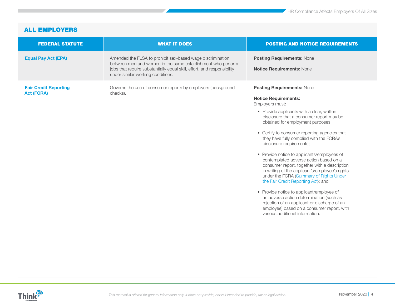| <b>FEDERAL STATUTE</b>                            | <b>WHAT IT DOES</b>                                                                                                                                                                                                                       | <b>POSTING AND NOTICE REQUIREMENTS</b>                                                                                                                                                                                                                                                                                                                                                                                                                                                                                                                                                                                                                                                                                                                                                                                                              |
|---------------------------------------------------|-------------------------------------------------------------------------------------------------------------------------------------------------------------------------------------------------------------------------------------------|-----------------------------------------------------------------------------------------------------------------------------------------------------------------------------------------------------------------------------------------------------------------------------------------------------------------------------------------------------------------------------------------------------------------------------------------------------------------------------------------------------------------------------------------------------------------------------------------------------------------------------------------------------------------------------------------------------------------------------------------------------------------------------------------------------------------------------------------------------|
| <b>Equal Pay Act (EPA)</b>                        | Amended the FLSA to prohibit sex-based wage discrimination<br>between men and women in the same establishment who perform<br>jobs that require substantially equal skill, effort, and responsibility<br>under similar working conditions. | <b>Posting Requirements: None</b><br>Notice Requirements: None                                                                                                                                                                                                                                                                                                                                                                                                                                                                                                                                                                                                                                                                                                                                                                                      |
| <b>Fair Credit Reporting</b><br><b>Act (FCRA)</b> | Governs the use of consumer reports by employers (background<br>checks).                                                                                                                                                                  | <b>Posting Requirements: None</b><br><b>Notice Requirements:</b><br>Employers must:<br>• Provide applicants with a clear, written<br>disclosure that a consumer report may be<br>obtained for employment purposes;<br>• Certify to consumer reporting agencies that<br>they have fully complied with the FCRA's<br>disclosure requirements;<br>• Provide notice to applicants/employees of<br>contemplated adverse action based on a<br>consumer report, together with a description<br>in writing of the applicant's/employee's rights<br>under the FCRA (Summary of Rights Under<br>the Fair Credit Reporting Act); and<br>• Provide notice to applicant/employee of<br>an adverse action determination (such as<br>rejection of an applicant or discharge of an<br>employee) based on a consumer report, with<br>various additional information. |

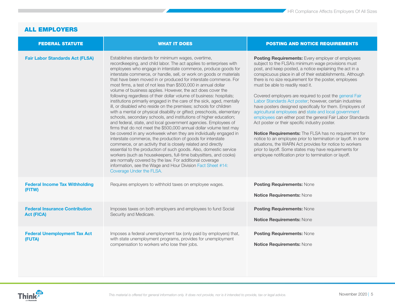| <b>FEDERAL STATUTE</b>                                     | <b>WHAT IT DOES</b>                                                                                                                                                                                                                                                                                                                                                                                                                                                                                                                                                                                                                                                                                                                                                                                                                                                                                                                                                                                                                                                                                                                                                                                                                                                                                                                                                                                                                                                                       | <b>POSTING AND NOTICE REQUIREMENTS</b>                                                                                                                                                                                                                                                                                                                                                                                                                                                                                                                                                                                                                                                                                                                                                                                                                                                                                                                                                           |
|------------------------------------------------------------|-------------------------------------------------------------------------------------------------------------------------------------------------------------------------------------------------------------------------------------------------------------------------------------------------------------------------------------------------------------------------------------------------------------------------------------------------------------------------------------------------------------------------------------------------------------------------------------------------------------------------------------------------------------------------------------------------------------------------------------------------------------------------------------------------------------------------------------------------------------------------------------------------------------------------------------------------------------------------------------------------------------------------------------------------------------------------------------------------------------------------------------------------------------------------------------------------------------------------------------------------------------------------------------------------------------------------------------------------------------------------------------------------------------------------------------------------------------------------------------------|--------------------------------------------------------------------------------------------------------------------------------------------------------------------------------------------------------------------------------------------------------------------------------------------------------------------------------------------------------------------------------------------------------------------------------------------------------------------------------------------------------------------------------------------------------------------------------------------------------------------------------------------------------------------------------------------------------------------------------------------------------------------------------------------------------------------------------------------------------------------------------------------------------------------------------------------------------------------------------------------------|
| <b>Fair Labor Standards Act (FLSA)</b>                     | Establishes standards for minimum wages, overtime,<br>recordkeeping, and child labor. The act applies to enterprises with<br>employees who engage in interstate commerce, produce goods for<br>interstate commerce, or handle, sell, or work on goods or materials<br>that have been moved in or produced for interstate commerce. For<br>most firms, a test of not less than \$500,000 in annual dollar<br>volume of business applies. However, the act does cover the<br>following regardless of their dollar volume of business: hospitals;<br>institutions primarily engaged in the care of the sick, aged, mentally<br>ill, or disabled who reside on the premises; schools for children<br>with a mental or physical disability or gifted; preschools, elementary<br>schools, secondary schools, and institutions of higher education;<br>and federal, state, and local government agencies. Employees of<br>firms that do not meet the \$500,000 annual dollar volume test may<br>be covered in any workweek when they are individually engaged in<br>interstate commerce, the production of goods for interstate<br>commerce, or an activity that is closely related and directly<br>essential to the production of such goods. Also, domestic service<br>workers (such as housekeepers, full-time babysitters, and cooks)<br>are normally covered by the law. For additional coverage<br>information, see the Wage and Hour Division Fact Sheet #14:<br>Coverage Under the FLSA. | Posting Requirements: Every employer of employees<br>subject to the FLSA's minimum wage provisions must<br>post, and keep posted, a notice explaining the act in a<br>conspicuous place in all of their establishments. Although<br>there is no size requirement for the poster, employees<br>must be able to readily read it.<br>Covered employers are required to post the general Fair<br>Labor Standards Act poster; however, certain industries<br>have posters designed specifically for them. Employers of<br>agricultural employees and state and local government<br>employees can either post the general Fair Labor Standards<br>Act poster or their specific industry poster.<br>Notice Requirements: The FLSA has no requirement for<br>notice to an employee prior to termination or layoff. In some<br>situations, the WARN Act provides for notice to workers<br>prior to layoff. Some states may have requirements for<br>employee notification prior to termination or layoff. |
| <b>Federal Income Tax Withholding</b><br>(FITW)            | Requires employers to withhold taxes on employee wages.                                                                                                                                                                                                                                                                                                                                                                                                                                                                                                                                                                                                                                                                                                                                                                                                                                                                                                                                                                                                                                                                                                                                                                                                                                                                                                                                                                                                                                   | <b>Posting Requirements: None</b><br>Notice Requirements: None                                                                                                                                                                                                                                                                                                                                                                                                                                                                                                                                                                                                                                                                                                                                                                                                                                                                                                                                   |
| <b>Federal Insurance Contribution</b><br><b>Act (FICA)</b> | Imposes taxes on both employers and employees to fund Social<br>Security and Medicare.                                                                                                                                                                                                                                                                                                                                                                                                                                                                                                                                                                                                                                                                                                                                                                                                                                                                                                                                                                                                                                                                                                                                                                                                                                                                                                                                                                                                    | <b>Posting Requirements: None</b><br>Notice Requirements: None                                                                                                                                                                                                                                                                                                                                                                                                                                                                                                                                                                                                                                                                                                                                                                                                                                                                                                                                   |
| <b>Federal Unemployment Tax Act</b><br>(FUTA)              | Imposes a federal unemployment tax (only paid by employers) that,<br>with state unemployment programs, provides for unemployment<br>compensation to workers who lose their jobs.                                                                                                                                                                                                                                                                                                                                                                                                                                                                                                                                                                                                                                                                                                                                                                                                                                                                                                                                                                                                                                                                                                                                                                                                                                                                                                          | <b>Posting Requirements: None</b><br><b>Notice Requirements: None</b>                                                                                                                                                                                                                                                                                                                                                                                                                                                                                                                                                                                                                                                                                                                                                                                                                                                                                                                            |

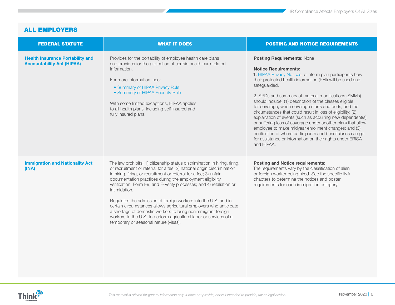| <b>FEDERAL STATUTE</b>                                                       | <b>WHAT IT DOES</b>                                                                                                                                                                                                                                                                                                                                                                                                                                                                                                                                                                                                                                                                                        | <b>POSTING AND NOTICE REQUIREMENTS</b>                                                                                                                                                                                                                                                                                                                                                                                                                                                                                                                                                                                                                                                                                                                                             |
|------------------------------------------------------------------------------|------------------------------------------------------------------------------------------------------------------------------------------------------------------------------------------------------------------------------------------------------------------------------------------------------------------------------------------------------------------------------------------------------------------------------------------------------------------------------------------------------------------------------------------------------------------------------------------------------------------------------------------------------------------------------------------------------------|------------------------------------------------------------------------------------------------------------------------------------------------------------------------------------------------------------------------------------------------------------------------------------------------------------------------------------------------------------------------------------------------------------------------------------------------------------------------------------------------------------------------------------------------------------------------------------------------------------------------------------------------------------------------------------------------------------------------------------------------------------------------------------|
| <b>Health Insurance Portability and</b><br><b>Accountability Act (HIPAA)</b> | Provides for the portability of employee health care plans<br>and provides for the protection of certain health care-related<br>information.<br>For more information, see:<br>• Summary of HIPAA Privacy Rule<br>• Summary of HIPAA Security Rule<br>With some limited exceptions, HIPAA applies<br>to all health plans, including self-insured and<br>fully insured plans.                                                                                                                                                                                                                                                                                                                                | <b>Posting Requirements: None</b><br><b>Notice Requirements:</b><br>1. HIPAA Privacy Notices to inform plan participants how<br>their protected health information (PHI) will be used and<br>safeguarded.<br>2. SPDs and summary of material modifications (SMMs)<br>should include: (1) description of the classes eligible<br>for coverage, when coverage starts and ends, and the<br>circumstances that could result in loss of eligibility; (2)<br>explanation of events (such as acquiring new dependent(s)<br>or suffering loss of coverage under another plan) that allow<br>employee to make midyear enrollment changes; and (3)<br>notification of where participants and beneficiaries can go<br>for assistance or information on their rights under ERISA<br>and HIPAA. |
| <b>Immigration and Nationality Act</b><br>(INA)                              | The law prohibits: 1) citizenship status discrimination in hiring, firing,<br>or recruitment or referral for a fee; 2) national origin discrimination<br>in hiring, firing, or recruitment or referral for a fee; 3) unfair<br>documentation practices during the employment eligibility<br>verification, Form I-9, and E-Verify processes; and 4) retaliation or<br>intimidation.<br>Regulates the admission of foreign workers into the U.S. and in<br>certain circumstances allows agricultural employers who anticipate<br>a shortage of domestic workers to bring nonimmigrant foreign<br>workers to the U.S. to perform agricultural labor or services of a<br>temporary or seasonal nature (visas). | <b>Posting and Notice requirements:</b><br>The requirements vary by the classification of alien<br>or foreign worker being hired. See the specific INA<br>chapters to determine the notices and poster<br>requirements for each immigration category.                                                                                                                                                                                                                                                                                                                                                                                                                                                                                                                              |

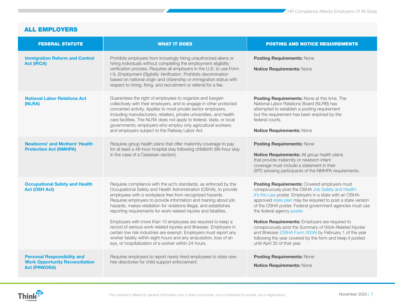| <b>FEDERAL STATUTE</b>                                                                              | <b>WHAT IT DOES</b>                                                                                                                                                                                                                                                                                                                                                                                                                                                                                                                                                                                                                                                                                                                                     | <b>POSTING AND NOTICE REQUIREMENTS</b>                                                                                                                                                                                                                                                                                                                                                                                                                                                                                                                                                       |
|-----------------------------------------------------------------------------------------------------|---------------------------------------------------------------------------------------------------------------------------------------------------------------------------------------------------------------------------------------------------------------------------------------------------------------------------------------------------------------------------------------------------------------------------------------------------------------------------------------------------------------------------------------------------------------------------------------------------------------------------------------------------------------------------------------------------------------------------------------------------------|----------------------------------------------------------------------------------------------------------------------------------------------------------------------------------------------------------------------------------------------------------------------------------------------------------------------------------------------------------------------------------------------------------------------------------------------------------------------------------------------------------------------------------------------------------------------------------------------|
| <b>Immigration Reform and Control</b><br><b>Act (IRCA)</b>                                          | Prohibits employers from knowingly hiring unauthorized aliens or<br>hiring individuals without completing the employment eligibility<br>verification process. Requires all employers in the U.S. to use Form<br>I-9, Employment Eligibility Verification. Prohibits discrimination<br>based on national origin and citizenship or immigration status with<br>respect to hiring, firing, and recruitment or referral for a fee.                                                                                                                                                                                                                                                                                                                          | <b>Posting Requirements: None</b><br><b>Notice Requirements: None</b>                                                                                                                                                                                                                                                                                                                                                                                                                                                                                                                        |
| <b>National Labor Relations Act</b><br>(NLRA)                                                       | Guarantees the right of employees to organize and bargain<br>collectively with their employers, and to engage in other protected<br>concerted activity. Applies to most private sector employers,<br>including manufacturers, retailers, private universities, and health<br>care facilities. The NLRA does not apply to federal, state, or local<br>governments; employers who employ only agricultural workers;<br>and employers subject to the Railway Labor Act.                                                                                                                                                                                                                                                                                    | <b>Posting Requirements: None at this time. The</b><br>National Labor Relations Board (NLRB) has<br>attempted to establish a posting requirement<br>but the requirement has been enjoined by the<br>federal courts.<br>Notice Requirements: None                                                                                                                                                                                                                                                                                                                                             |
| <b>Newborns' and Mothers' Health</b><br><b>Protection Act (NMHPA)</b>                               | Requires group health plans that offer maternity coverage to pay<br>for at least a 48-hour hospital stay following childbirth (96-hour stay<br>in the case of a Cesarean section).                                                                                                                                                                                                                                                                                                                                                                                                                                                                                                                                                                      | <b>Posting Requirements: None</b><br>Notice Requirements: All group health plans<br>that provide maternity or newborn infant<br>coverage must include a statement in their<br>SPD advising participants of the NMHPA requirements.                                                                                                                                                                                                                                                                                                                                                           |
| <b>Occupational Safety and Health</b><br><b>Act (OSH Act)</b>                                       | Requires compliance with the act's standards, as enforced by the<br>Occupational Safety and Health Administration (OSHA), to provide<br>employees with a workplace free from recognized hazards.<br>Requires employers to provide information and training about job<br>hazards, makes retaliation for violations illegal, and establishes<br>reporting requirements for work-related injuries and fatalities.<br>Employers with more than 10 employees are required to keep a<br>record of serious work-related injuries and illnesses. Employers in<br>certain low risk industries are exempt. Employers must report any<br>worker fatality within eight hours and any amputation, loss of an<br>eye, or hospitalization of a worker within 24 hours. | Posting Requirements: Covered employers must<br>conspicuously post the OSHA Job Safety and Health:<br>It's the Law poster. Employers in a state with an OSHA-<br>approved state plan may be required to post a state version<br>of the OSHA poster. Federal government agencies must use<br>the federal agency poster.<br>Notice Requirements: Employers are required to<br>conspicuously post the Summary of Work-Related Injuries<br>and Illnesses (OSHA Form 300A) by February 1 of the year<br>following the year covered by the form and keep it posted<br>until April 30 of that year. |
| <b>Personal Responsibility and</b><br><b>Work Opportunity Reconciliation</b><br><b>Act (PRWORA)</b> | Requires employers to report newly hired employees to state new<br>hire directories for child support enforcement.                                                                                                                                                                                                                                                                                                                                                                                                                                                                                                                                                                                                                                      | <b>Posting Requirements: None</b><br>Notice Requirements: None                                                                                                                                                                                                                                                                                                                                                                                                                                                                                                                               |

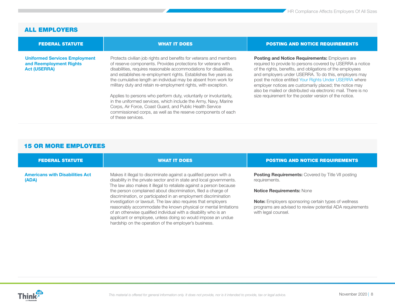<span id="page-7-0"></span>

| <b>FEDERAL STATUTE</b>                                                                 | <b>WHAT IT DOES</b>                                                                                                                                                                                                                                                                                                                                                                                                                                                                                                                                                                                                                                                                                           | <b>POSTING AND NOTICE REQUIREMENTS</b>                                                                                                                                                                                                                                                                                                                                                                                                                                                     |
|----------------------------------------------------------------------------------------|---------------------------------------------------------------------------------------------------------------------------------------------------------------------------------------------------------------------------------------------------------------------------------------------------------------------------------------------------------------------------------------------------------------------------------------------------------------------------------------------------------------------------------------------------------------------------------------------------------------------------------------------------------------------------------------------------------------|--------------------------------------------------------------------------------------------------------------------------------------------------------------------------------------------------------------------------------------------------------------------------------------------------------------------------------------------------------------------------------------------------------------------------------------------------------------------------------------------|
| <b>Uniformed Services Employment</b><br>and Reemployment Rights<br><b>Act (USERRA)</b> | Protects civilian job rights and benefits for veterans and members<br>of reserve components. Provides protections for veterans with<br>disabilities, requires reasonable accommodations for disabilities,<br>and establishes re-employment rights. Establishes five years as<br>the cumulative length an individual may be absent from work for<br>military duty and retain re-employment rights, with exception.<br>Applies to persons who perform duty, voluntarily or involuntarily,<br>in the uniformed services, which include the Army, Navy, Marine<br>Corps, Air Force, Coast Guard, and Public Health Service<br>commissioned corps, as well as the reserve components of each<br>of these services. | <b>Posting and Notice Requirements: Employers are</b><br>required to provide to persons covered by USERRA a notice<br>of the rights, benefits, and obligations of the employees<br>and employers under USERRA. To do this, employers may<br>post the notice entitled Your Rights Under USERRA where<br>employer notices are customarily placed; the notice may<br>also be mailed or distributed via electronic mail. There is no<br>size requirement for the poster version of the notice. |

| <b>FEDERAL STATUTE</b>                          | <b>WHAT IT DOES</b>                                                                                                                                                                                                                                                                                                                                                                                                                                                                        | <b>POSTING AND NOTICE REQUIREMENTS</b>                                                                                                                                                                                                     |
|-------------------------------------------------|--------------------------------------------------------------------------------------------------------------------------------------------------------------------------------------------------------------------------------------------------------------------------------------------------------------------------------------------------------------------------------------------------------------------------------------------------------------------------------------------|--------------------------------------------------------------------------------------------------------------------------------------------------------------------------------------------------------------------------------------------|
| <b>Americans with Disabilities Act</b><br>(ADA) | Makes it illegal to discriminate against a qualified person with a<br>disability in the private sector and in state and local governments.<br>The law also makes it illegal to retaliate against a person because<br>the person complained about discrimination, filed a charge of<br>discrimination, or participated in an employment discrimination<br>investigation or lawsuit. The law also requires that employers<br>reasonably accommodate the known physical or mental limitations | <b>Posting Requirements:</b> Covered by Title VII posting<br>requirements.<br><b>Notice Requirements: None</b><br><b>Note:</b> Employers sponsoring certain types of wellness<br>programs are advised to review potential ADA requirements |
|                                                 | of an otherwise qualified individual with a disability who is an<br>applicant or employee, unless doing so would impose an undue<br>hardship on the operation of the employer's business.                                                                                                                                                                                                                                                                                                  | with legal counsel.                                                                                                                                                                                                                        |

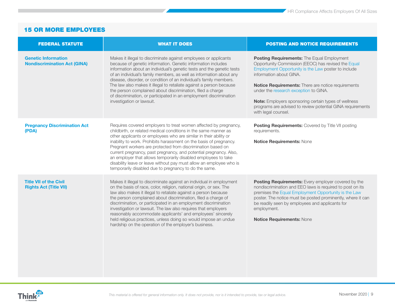| <b>FEDERAL STATUTE</b>                                            | <b>WHAT IT DOES</b>                                                                                                                                                                                                                                                                                                                                                                                                                                                                                                                                                                                                  | <b>POSTING AND NOTICE REQUIREMENTS</b>                                                                                                                                                                                                                                                                                                                                                                                                 |
|-------------------------------------------------------------------|----------------------------------------------------------------------------------------------------------------------------------------------------------------------------------------------------------------------------------------------------------------------------------------------------------------------------------------------------------------------------------------------------------------------------------------------------------------------------------------------------------------------------------------------------------------------------------------------------------------------|----------------------------------------------------------------------------------------------------------------------------------------------------------------------------------------------------------------------------------------------------------------------------------------------------------------------------------------------------------------------------------------------------------------------------------------|
| <b>Genetic Information</b><br><b>Nondiscrimination Act (GINA)</b> | Makes it illegal to discriminate against employees or applicants<br>because of genetic information. Genetic information includes<br>information about an individual's genetic tests and the genetic tests<br>of an individual's family members, as well as information about any<br>disease, disorder, or condition of an individual's family members.<br>The law also makes it illegal to retaliate against a person because<br>the person complained about discrimination, filed a charge<br>of discrimination, or participated in an employment discrimination<br>investigation or lawsuit.                       | Posting Requirements: The Equal Employment<br>Opportunity Commission (EEOC) has revised the Equal<br>Employment Opportunity is the Law poster to include<br>information about GINA.<br>Notice Requirements: There are notice requirements<br>under the research exception to GINA.<br><b>Note:</b> Employers sponsoring certain types of wellness<br>programs are advised to review potential GINA requirements<br>with legal counsel. |
| <b>Pregnancy Discrimination Act</b><br>(PDA)                      | Requires covered employers to treat women affected by pregnancy,<br>childbirth, or related medical conditions in the same manner as<br>other applicants or employees who are similar in their ability or<br>inability to work. Prohibits harassment on the basis of pregnancy.<br>Pregnant workers are protected from discrimination based on<br>current pregnancy, past pregnancy, and potential pregnancy. Also,<br>an employer that allows temporarily disabled employees to take<br>disability leave or leave without pay must allow an employee who is<br>temporarily disabled due to pregnancy to do the same. | <b>Posting Requirements: Covered by Title VII posting</b><br>requirements.<br>Notice Requirements: None                                                                                                                                                                                                                                                                                                                                |
| <b>Title VII of the Civil</b><br><b>Rights Act (Title VII)</b>    | Makes it illegal to discriminate against an individual in employment<br>on the basis of race, color, religion, national origin, or sex. The<br>law also makes it illegal to retaliate against a person because<br>the person complained about discrimination, filed a charge of<br>discrimination, or participated in an employment discrimination<br>investigation or lawsuit. The law also requires that employers<br>reasonably accommodate applicants' and employees' sincerely<br>held religious practices, unless doing so would impose an undue<br>hardship on the operation of the employer's business.      | Posting Requirements: Every employer covered by the<br>nondiscrimination and EEO laws is required to post on its<br>premises the Equal Employment Opportunity is the Law<br>poster. The notice must be posted prominently, where it can<br>be readily seen by employees and applicants for<br>employment.<br>Notice Requirements: None                                                                                                 |

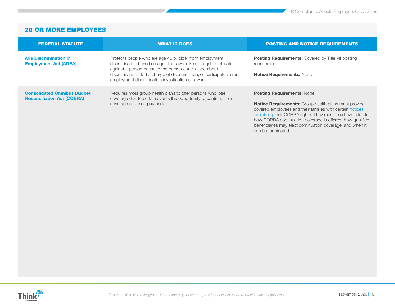<span id="page-9-0"></span>

| <b>FEDERAL STATUTE</b>                                                  | <b>WHAT IT DOES</b>                                                                                                                                                                                                                                                                                                     | <b>POSTING AND NOTICE REQUIREMENTS</b>                                                                                                                                                                                                                                                                                                                           |
|-------------------------------------------------------------------------|-------------------------------------------------------------------------------------------------------------------------------------------------------------------------------------------------------------------------------------------------------------------------------------------------------------------------|------------------------------------------------------------------------------------------------------------------------------------------------------------------------------------------------------------------------------------------------------------------------------------------------------------------------------------------------------------------|
| <b>Age Discrimination in</b><br><b>Employment Act (ADEA)</b>            | Protects people who are age 40 or older from employment<br>discrimination based on age. The law makes it illegal to retaliate<br>against a person because the person complained about<br>discrimination, filed a charge of discrimination, or participated in an<br>employment discrimination investigation or lawsuit. | <b>Posting Requirements:</b> Covered by Title VII posting<br>requirement.<br>Notice Requirements: None                                                                                                                                                                                                                                                           |
| <b>Consolidated Omnibus Budget</b><br><b>Reconciliation Act (COBRA)</b> | Requires most group health plans to offer persons who lose<br>coverage due to certain events the opportunity to continue their<br>coverage on a self-pay basis.                                                                                                                                                         | Posting Requirements: None<br>Notice Requirements: Group health plans must provide<br>covered employees and their families with certain notices<br>explaining their COBRA rights. They must also have rules for<br>how COBRA continuation coverage is offered, how qualified<br>beneficiaries may elect continuation coverage, and when it<br>can be terminated. |

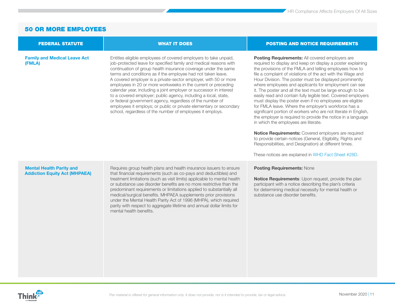#### **[Family and Medical Leave Act](https://www.dol.gov/agencies/whd/fmla)  [\(FMLA\)](https://www.dol.gov/agencies/whd/fmla)**

**[Mental Health Parity and](http://www.cms.gov/CCIIO/Programs-and-Initiatives/Other-Insurance-Protections/mhpaea_factsheet.html)  [Addiction Equity Act \(MHPAEA\)](http://www.cms.gov/CCIIO/Programs-and-Initiatives/Other-Insurance-Protections/mhpaea_factsheet.html)**

Entitles eligible employees of covered employers to take unpaid, job-protected leave for specified family and medical reasons with continuation of group health insurance coverage under the same terms and conditions as if the employee had not taken leave. A covered employer is a private-sector employer, with 50 or more employees in 20 or more workweeks in the current or preceding calendar year, including a joint employer or successor in interest to a covered employer; public agency, including a local, state, or federal government agency, regardless of the number of employees it employs; or public or private elementary or secondary school, regardless of the number of employees it employs.

Requires group health plans and health insurance issuers to ensure that financial requirements (such as co-pays and deductibles) and treatment limitations (such as visit limits) applicable to mental health or substance use disorder benefits are no more restrictive than the predominant requirements or limitations applied to substantially all medical/surgical benefits. MHPAEA supplements prior provisions under the Mental Health Parity Act of 1996 (MHPA), which required parity with respect to aggregate lifetime and annual dollar limits for

mental health benefits.

#### <span id="page-10-0"></span>FEDERAL STATUTE WHAT IT DOES POSTING AND NOTICE REQUIREMENTS

**Posting Requirements:** All covered employers are required to display and keep on display a poster explaining the provisions of the FMLA and telling employees how to file a complaint of violations of the act with the Wage and Hour Division. The poster must be displayed prominently where employees and applicants for employment can see it. The poster and all the text must be large enough to be easily read and contain fully legible text. Covered employers must display the poster even if no employees are eligible for FMLA leave. Where the employer's workforce has a significant portion of workers who are not literate in English. the employer is required to provide the notice in a language in which the employees are literate.

**Notice Requirements:** Covered employers are required to provide certain notices (General, Eligibility, Rights and Responsibilities, and Designation) at different times.

These notices are explained in [WHD Fact Sheet #28D](http://www.dol.gov/whd/regs/compliance/whdfs28d.pdf).

#### **Posting Requirements:** None

**Notice Requirements**: Upon request, provide the plan participant with a notice describing the plan's criteria for determining medical necessity for mental health or substance use disorder benefits.